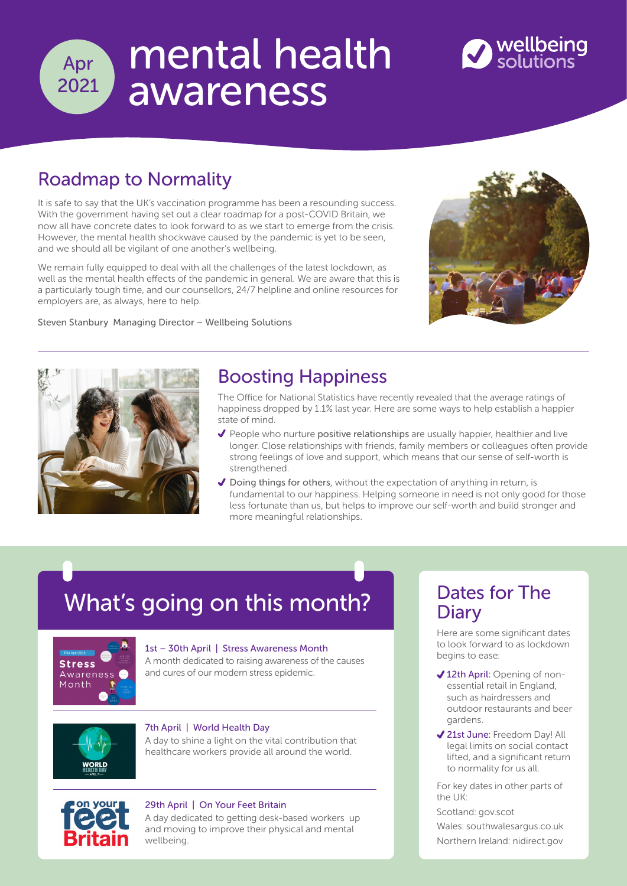Apr 2021

# mental health awareness



### Roadmap to Normality

It is safe to say that the UK's vaccination programme has been a resounding success. With the government having set out a clear roadmap for a post-COVID Britain, we now all have concrete dates to look forward to as we start to emerge from the crisis. However, the mental health shockwave caused by the pandemic is yet to be seen, and we should all be vigilant of one another's wellbeing.

We remain fully equipped to deal with all the challenges of the latest lockdown, as well as the mental health effects of the pandemic in general. We are aware that this is a particularly tough time, and our counsellors, 24/7 helpline and online resources for employers are, as always, here to help.

Steven Stanbury Managing Director – Wellbeing Solutions





#### Boosting Happiness

The Office for National Statistics have recently revealed that the average ratings of happiness dropped by 1.1% last year. Here are some ways to help establish a happier state of mind.

- $\blacktriangledown$  People who nurture positive relationships are usually happier, healthier and live longer. Close relationships with friends, family members or colleagues often provide strong feelings of love and support, which means that our sense of self-worth is strengthened.
- $\blacktriangledown$  Doing things for others, without the expectation of anything in return, is fundamental to our happiness. Helping someone in need is not only good for those less fortunate than us, but helps to improve our self-worth and build stronger and more meaningful relationships.

# What's going on this month?



#### [1st – 30th April | S](https://www.stress.org.uk/national-stress-awareness-month-2019/)tress Awareness Month

[A month dedicated to raising awareness of the causes](https://www.stress.org.uk/national-stress-awareness-month-2019/)  and cures of our modern stress epidemic.



#### 7th April | World Health Day

[A day to shine a light on the vital contribution that](https://www.who.int/campaigns/world-health-day/2021)  healthcare workers provide all around the world.



#### 29th April | On Your Feet Britain

[A day dedicated to getting desk-based workers up](https://onyourfeetday.com/)  and moving to improve their physical and mental wellbeing.

#### Dates for The **Diary**

Here are some significant dates to look forward to as lockdown begins to ease:

- 12th April: Opening of nonessential retail in England, such as hairdressers and outdoor restaurants and beer gardens.
- ◆ 21st June: Freedom Day! All legal limits on social contact lifted, and a significant return to normality for us all.

For key dates in other parts of the UK:

Scotland: [gov.scot](https://www.gov.scot/collections/coronavirus-covid-19-scotlands-route-map/)

Wales: [southwales](https://www.southwalesargus.co.uk/news/19156115.covid-drakeford-sets-roadmap-wales-lockdown-exit/)[argus.co.uk](https://www.nidirect.gov.uk/information-and-services/coronavirus-covid-19/regulations-and-recovery-plan) Northern Ireland: nidirect.gov